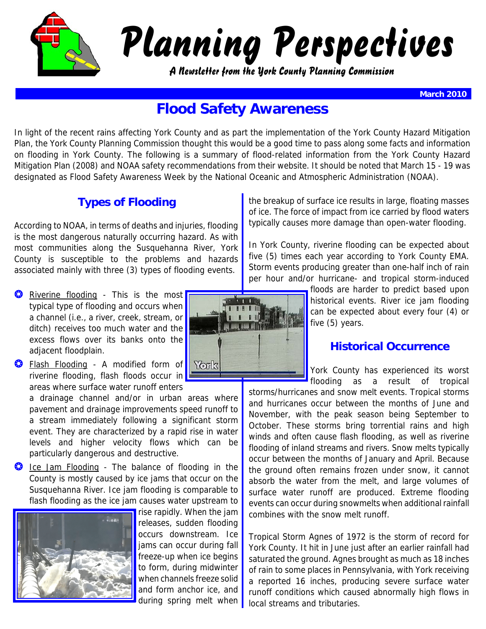

# Planning Perspectives

A Newsletter from the York County Planning Commission

**March 2010**

# **Flood Safety Awareness**

In light of the recent rains affecting York County and as part the implementation of the York County Hazard Mitigation Plan, the York County Planning Commission thought this would be a good time to pass along some facts and information on flooding in York County. The following is a summary of flood-related information from the York County Hazard Mitigation Plan (2008) and NOAA safety recommendations from their website. It should be noted that March 15 - 19 was designated as Flood Safety Awareness Week by the National Oceanic and Atmospheric Administration (NOAA).

# **Types of Flooding**

According to NOAA, in terms of deaths and injuries, flooding is the most dangerous naturally occurring hazard. As with most communities along the Susquehanna River, York County is susceptible to the problems and hazards associated mainly with three (3) types of flooding events.

- **O** Riverine flooding This is the most typical type of flooding and occurs when a channel (i.e., a river, creek, stream, or ditch) receives too much water and the excess flows over its banks onto the adjacent floodplain.
- **O** Flash Flooding A modified form of Torks riverine flooding, flash floods occur in areas where surface water runoff enters

a drainage channel and/or in urban areas where pavement and drainage improvements speed runoff to a stream immediately following a significant storm event. They are characterized by a rapid rise in water levels and higher velocity flows which can be particularly dangerous and destructive.

**3** Ice Jam Flooding - The balance of flooding in the County is mostly caused by ice jams that occur on the Susquehanna River. Ice jam flooding is comparable to flash flooding as the ice jam causes water upstream to



rise rapidly. When the jam releases, sudden flooding occurs downstream. Ice jams can occur during fall freeze-up when ice begins to form, during midwinter when channels freeze solid and form anchor ice, and during spring melt when



the breakup of surface ice results in large, floating masses of ice. The force of impact from ice carried by flood waters typically causes more damage than open-water flooding.

In York County, riverine flooding can be expected about five (5) times each year according to York County EMA. Storm events producing greater than one-half inch of rain per hour and/or hurricane- and tropical storm-induced

> floods are harder to predict based upon historical events. River ice jam flooding can be expected about every four (4) or five (5) years.

## **Historical Occurrence**

York County has experienced its worst flooding as a result of tropical

storms/hurricanes and snow melt events. Tropical storms and hurricanes occur between the months of June and November, with the peak season being September to October. These storms bring torrential rains and high winds and often cause flash flooding, as well as riverine flooding of inland streams and rivers. Snow melts typically occur between the months of January and April. Because the ground often remains frozen under snow, it cannot absorb the water from the melt, and large volumes of surface water runoff are produced. Extreme flooding events can occur during snowmelts when additional rainfall combines with the snow melt runoff.

Tropical Storm Agnes of 1972 is the storm of record for York County. It hit in June just after an earlier rainfall had saturated the ground. Agnes brought as much as 18 inches of rain to some places in Pennsylvania, with York receiving a reported 16 inches, producing severe surface water runoff conditions which caused abnormally high flows in local streams and tributaries.